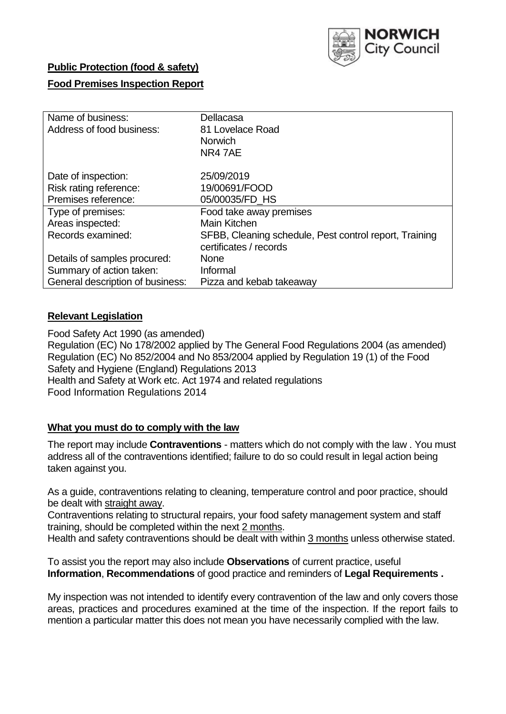

## **Public Protection (food & safety)**

## **Food Premises Inspection Report**

| Name of business:                | Dellacasa                                              |
|----------------------------------|--------------------------------------------------------|
| Address of food business:        | 81 Lovelace Road                                       |
|                                  | <b>Norwich</b>                                         |
|                                  | NR47AE                                                 |
| Date of inspection:              | 25/09/2019                                             |
| Risk rating reference:           | 19/00691/FOOD                                          |
| Premises reference:              | 05/00035/FD HS                                         |
| Type of premises:                | Food take away premises                                |
| Areas inspected:                 | <b>Main Kitchen</b>                                    |
| Records examined:                | SFBB, Cleaning schedule, Pest control report, Training |
|                                  | certificates / records                                 |
| Details of samples procured:     | <b>None</b>                                            |
| Summary of action taken:         | Informal                                               |
| General description of business: | Pizza and kebab takeaway                               |

## **Relevant Legislation**

Food Safety Act 1990 (as amended) Regulation (EC) No 178/2002 applied by The General Food Regulations 2004 (as amended) Regulation (EC) No 852/2004 and No 853/2004 applied by Regulation 19 (1) of the Food Safety and Hygiene (England) Regulations 2013 Health and Safety at Work etc. Act 1974 and related regulations Food Information Regulations 2014

### **What you must do to comply with the law**

The report may include **Contraventions** - matters which do not comply with the law . You must address all of the contraventions identified; failure to do so could result in legal action being taken against you.

As a guide, contraventions relating to cleaning, temperature control and poor practice, should be dealt with straight away.

Contraventions relating to structural repairs, your food safety management system and staff training, should be completed within the next 2 months.

Health and safety contraventions should be dealt with within 3 months unless otherwise stated.

To assist you the report may also include **Observations** of current practice, useful **Information**, **Recommendations** of good practice and reminders of **Legal Requirements .**

My inspection was not intended to identify every contravention of the law and only covers those areas, practices and procedures examined at the time of the inspection. If the report fails to mention a particular matter this does not mean you have necessarily complied with the law.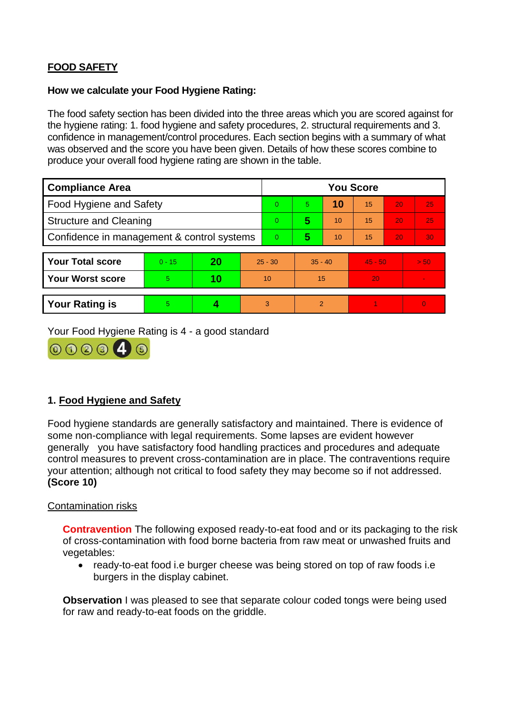# **FOOD SAFETY**

#### **How we calculate your Food Hygiene Rating:**

The food safety section has been divided into the three areas which you are scored against for the hygiene rating: 1. food hygiene and safety procedures, 2. structural requirements and 3. confidence in management/control procedures. Each section begins with a summary of what was observed and the score you have been given. Details of how these scores combine to produce your overall food hygiene rating are shown in the table.

| <b>Compliance Area</b>                     |          |    |                | <b>You Score</b> |                |    |           |    |          |  |  |
|--------------------------------------------|----------|----|----------------|------------------|----------------|----|-----------|----|----------|--|--|
| Food Hygiene and Safety                    |          |    |                | $\overline{0}$   | 5.             | 10 | 15        | 20 | 25       |  |  |
| <b>Structure and Cleaning</b>              |          |    |                | $\Omega$         | 5              | 10 | 15        | 20 | 25       |  |  |
| Confidence in management & control systems |          |    | $\overline{0}$ | 5                | 10             | 15 | 20        | 30 |          |  |  |
|                                            |          |    |                |                  |                |    |           |    |          |  |  |
| <b>Your Total score</b>                    | $0 - 15$ | 20 | $25 - 30$      |                  | $35 - 40$      |    | $45 - 50$ |    | > 50     |  |  |
| <b>Your Worst score</b>                    | 5.       | 10 | 10             |                  | 15             |    | 20        |    |          |  |  |
|                                            |          |    |                |                  |                |    |           |    |          |  |  |
| <b>Your Rating is</b>                      | 5        |    |                | 3                | $\overline{2}$ |    |           |    | $\Omega$ |  |  |

Your Food Hygiene Rating is 4 - a good standard



## **1. Food Hygiene and Safety**

Food hygiene standards are generally satisfactory and maintained. There is evidence of some non-compliance with legal requirements. Some lapses are evident however generally you have satisfactory food handling practices and procedures and adequate control measures to prevent cross-contamination are in place. The contraventions require your attention; although not critical to food safety they may become so if not addressed. **(Score 10)**

### Contamination risks

**Contravention** The following exposed ready-to-eat food and or its packaging to the risk of cross-contamination with food borne bacteria from raw meat or unwashed fruits and vegetables:

• ready-to-eat food i.e burger cheese was being stored on top of raw foods i.e burgers in the display cabinet.

**Observation** I was pleased to see that separate colour coded tongs were being used for raw and ready-to-eat foods on the griddle.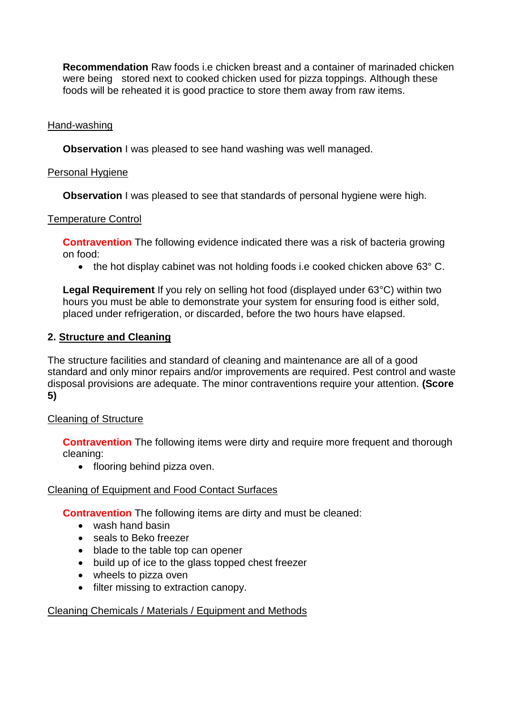**Recommendation** Raw foods i.e chicken breast and a container of marinaded chicken were being stored next to cooked chicken used for pizza toppings. Although these foods will be reheated it is good practice to store them away from raw items.

## Hand-washing

**Observation** I was pleased to see hand washing was well managed.

### Personal Hygiene

**Observation** I was pleased to see that standards of personal hygiene were high.

## Temperature Control

**Contravention** The following evidence indicated there was a risk of bacteria growing on food:

• the hot display cabinet was not holding foods i.e cooked chicken above 63° C.

**Legal Requirement** If you rely on selling hot food (displayed under 63°C) within two hours you must be able to demonstrate your system for ensuring food is either sold, placed under refrigeration, or discarded, before the two hours have elapsed.

## **2. Structure and Cleaning**

The structure facilities and standard of cleaning and maintenance are all of a good standard and only minor repairs and/or improvements are required. Pest control and waste disposal provisions are adequate. The minor contraventions require your attention. **(Score 5)**

### Cleaning of Structure

**Contravention** The following items were dirty and require more frequent and thorough cleaning:

• flooring behind pizza oven.

### Cleaning of Equipment and Food Contact Surfaces

**Contravention** The following items are dirty and must be cleaned:

- wash hand basin
- seals to Beko freezer
- blade to the table top can opener
- build up of ice to the glass topped chest freezer
- wheels to pizza oven
- filter missing to extraction canopy.

### Cleaning Chemicals / Materials / Equipment and Methods